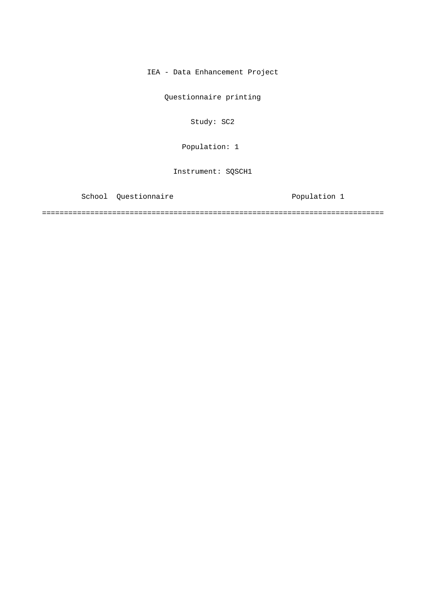IEA - Data Enhancement Project

Questionnaire printing

Study: SC2

Population: 1

Instrument: SQSCH1

School Questionnaire **Population** 1

==============================================================================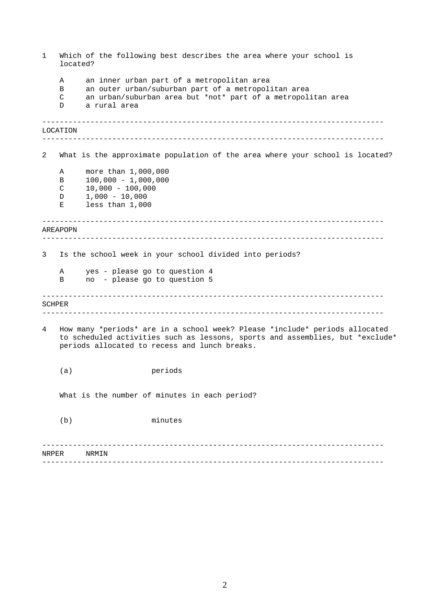<span id="page-1-0"></span>------------------------------------------------------------------------------ ------------------------------------------------------------------------------ ------------------------------------------------------------------------------ ------------------------------------------------------------------------------ ------------------------------------------------------------------------------ ------------------------------------------------------------------------------ ------------------------------------------------------------------------------ ------------------------------------------------------------------------------ 1 Which of the following best describes the area where your school is located? A an inner urban part of a metropolitan area B an outer urban/suburban part of a metropolitan area C an urban/suburban area but \*not\* part of a metropolitan area D a rural area LOCATION 2 What is the approximate population of the area where your school is located? A more than 1,000,000 B 100,000 - 1,000,000 C 10,000 - 100,000 D 1,000 - 10,000 E less than 1,000 AREAPOPN 3 Is the school week in your school divided into periods? A yes - please go to question 4 B no - please go to question 5 SCHPER 4 How many \*periods\* are in a school week? Please \*include\* periods allocated to scheduled activities such as lessons, sports and assemblies, but \*exclude\* periods allocated to recess and lunch breaks. (a) periods What is the number of minutes in each period? (b) minutes NRPER NRMIN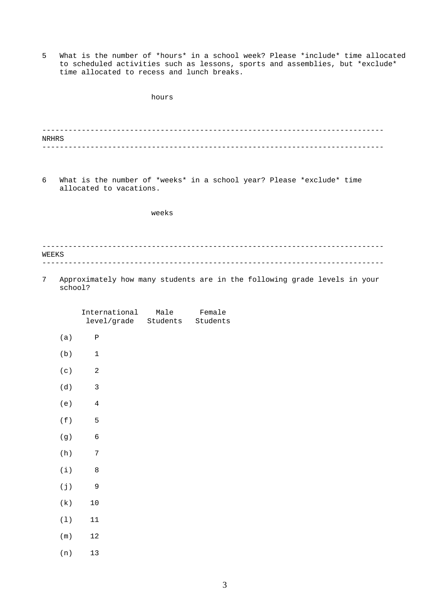5 What is the number of \*hours\* in a school week? Please \*include\* time allocated to scheduled activities such as lessons, sports and assemblies, but \*exclude\* time allocated to recess and lunch breaks.

|       |                               |                                                            | hours |                                                                           |  |
|-------|-------------------------------|------------------------------------------------------------|-------|---------------------------------------------------------------------------|--|
|       |                               |                                                            |       |                                                                           |  |
| NRHRS |                               |                                                            |       |                                                                           |  |
|       |                               |                                                            |       |                                                                           |  |
| 6     |                               | allocated to vacations.                                    |       | What is the number of *weeks* in a school year? Please *exclude* time     |  |
|       |                               |                                                            | weeks |                                                                           |  |
|       |                               |                                                            |       |                                                                           |  |
| WEEKS |                               |                                                            |       |                                                                           |  |
|       |                               |                                                            |       |                                                                           |  |
| 7     | school?                       |                                                            |       | Approximately how many students are in the following grade levels in your |  |
|       |                               | International Male Female<br>level/grade Students Students |       |                                                                           |  |
|       | (a)                           | $\, {\bf P}$                                               |       |                                                                           |  |
|       | (b)                           | 1                                                          |       |                                                                           |  |
|       | (c)                           | 2                                                          |       |                                                                           |  |
|       | (d)                           | 3                                                          |       |                                                                           |  |
|       | (e)                           | 4                                                          |       |                                                                           |  |
|       | ( $\mathtt{f}$ )              | 5                                                          |       |                                                                           |  |
|       | $(\,g\,)$                     | $\epsilon$                                                 |       |                                                                           |  |
|       | $\qquadh)$                    | $\sqrt{ }$                                                 |       |                                                                           |  |
|       | $\left( \text{ i } \right)$   | $\,8\,$                                                    |       |                                                                           |  |
|       | $(\; \dot{\mathbf{j}} \; )$   | $\mathsf 9$                                                |       |                                                                           |  |
|       | $(\,\mathbf{k}\,)$            | $1\,0$                                                     |       |                                                                           |  |
|       | $\left(\:\mathbb{1}\:\right)$ | $11\,$                                                     |       |                                                                           |  |
|       | $\mbox{( m )}$                | $12\,$                                                     |       |                                                                           |  |
|       | $\qquad,n)$                   | $13\,$                                                     |       |                                                                           |  |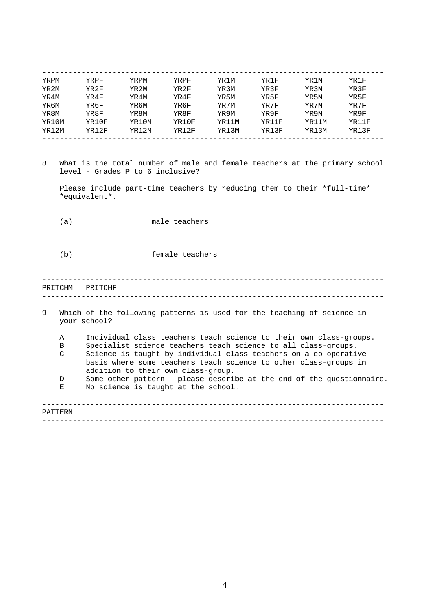<span id="page-3-0"></span>

| YRPM  | YRPF  | YRPM  | YRPF  | YR1M  | YR1F  | YR1M  | YR1F  |
|-------|-------|-------|-------|-------|-------|-------|-------|
| YR2M  | YR2F  | YR2M  | YR2F  | YR3M  | YR3F  | YR3M  | YR3F  |
| YR4M  | YR4F  | YR4M  | YR4F  | YR5M  | YR5F  | YR5M  | YR5F  |
| YR6M  | YR6F  | YR6M  | YR6F  | YR7M  | YR7F  | YR7M  | YR7F  |
| YR8M  | YR8F  | YR8M  | YR8F  | YR9M  | YR9F  | YR9M  | YR9F  |
| YR10M | YR10F | YR10M | YR10F | YR11M | YR11F | YR11M | YR11F |
| YR12M | YR12F | YR12M | YR12F | YR13M | YR13F | YR13M | YR13F |

8 What is the total number of male and female teachers at the primary school level - Grades P to 6 inclusive?

Please include part-time teachers by reducing them to their \*full-time\* \*equivalent\*.

(a) male teachers

(b) female teachers

## ------------------------------------------------------------------------------ ------------------------------------------------------------------------------ PRITCHM PRITCHF

| 9       | Which of the following patterns is used for the teaching of science in<br>your school? |                                                                       |  |  |  |  |  |  |
|---------|----------------------------------------------------------------------------------------|-----------------------------------------------------------------------|--|--|--|--|--|--|
|         |                                                                                        |                                                                       |  |  |  |  |  |  |
|         | A                                                                                      | Individual class teachers teach science to their own class-groups.    |  |  |  |  |  |  |
|         | В                                                                                      | Specialist science teachers teach science to all class-groups.        |  |  |  |  |  |  |
|         | C                                                                                      | Science is taught by individual class teachers on a co-operative      |  |  |  |  |  |  |
|         |                                                                                        | basis where some teachers teach science to other class-groups in      |  |  |  |  |  |  |
|         |                                                                                        | addition to their own class-group.                                    |  |  |  |  |  |  |
|         | D                                                                                      | Some other pattern - please describe at the end of the questionnaire. |  |  |  |  |  |  |
|         | Е                                                                                      | No science is taught at the school.                                   |  |  |  |  |  |  |
|         |                                                                                        |                                                                       |  |  |  |  |  |  |
|         |                                                                                        |                                                                       |  |  |  |  |  |  |
| PATTERN |                                                                                        |                                                                       |  |  |  |  |  |  |

------------------------------------------------------------------------------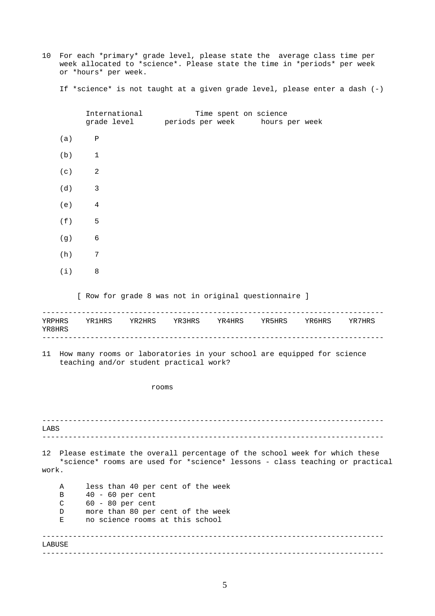10 For each \*primary\* grade level, please state the average class time per week allocated to \*science\*. Please state the time in \*periods\* per week or \*hours\* per week.

If \*science\* is not taught at a given grade level, please enter a dash (-)

------------------------------------------------------------------------------ ------------------------------------------------------------------------------ ------------------------------------------------------------------------------ ------------------------------------------------------------------------------ ------------------------------------------------------------------------------ ------------------------------------------------------------------------------ International Time spent on science grade level periods per week hours per week (a) P (b) 1  $(c)$  2 (d) 3 (e) 4 (f) 5  $(q)$  6 (h) 7 (i) 8 [ Row for grade 8 was not in original questionnaire ] YRPHRS YR1HRS YR2HRS YR3HRS YR4HRS YR5HRS YR6HRS YR7HRS YR8HRS 11 How many rooms or laboratories in your school are equipped for science teaching and/or student practical work? rooms LABS 12 Please estimate the overall percentage of the school week for which these \*science\* rooms are used for \*science\* lessons - class teaching or practical work. A less than 40 per cent of the week B 40 - 60 per cent C 60 - 80 per cent D more than 80 per cent of the week E no science rooms at this school LABUSE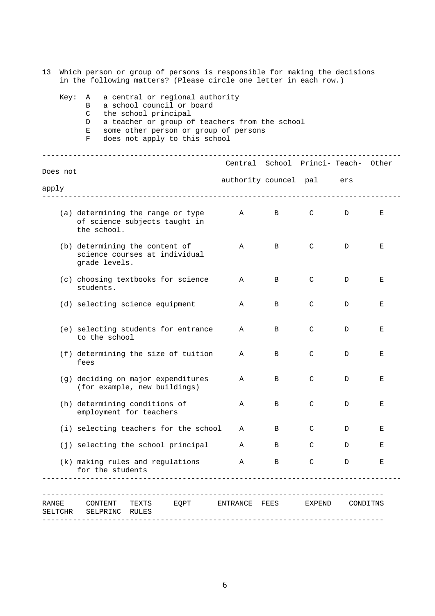| 13               | Which person or group of persons is responsible for making the decisions<br>in the following matters? (Please circle one letter in each row.)                                                                                                          |      |                     |                                                          |                                                                    |                       |                                    |        |   |          |  |
|------------------|--------------------------------------------------------------------------------------------------------------------------------------------------------------------------------------------------------------------------------------------------------|------|---------------------|----------------------------------------------------------|--------------------------------------------------------------------|-----------------------|------------------------------------|--------|---|----------|--|
|                  | a central or regional authority<br>Key:<br>Α<br>a school council or board<br>B<br>C<br>the school principal<br>a teacher or group of teachers from the school<br>D<br>some other person or group of persons<br>Е<br>does not apply to this school<br>F |      |                     |                                                          |                                                                    |                       |                                    |        |   |          |  |
|                  |                                                                                                                                                                                                                                                        |      |                     |                                                          |                                                                    |                       | Central School Princi-Teach- Other |        |   |          |  |
|                  | Does not<br>apply                                                                                                                                                                                                                                      |      |                     |                                                          |                                                                    | authority councel pal |                                    | ers    |   |          |  |
|                  |                                                                                                                                                                                                                                                        |      | the school.         |                                                          | (a) determining the range or type<br>of science subjects taught in | $\mathbf{A}$          | $\mathbf{B}$                       | C      | D | Е        |  |
|                  |                                                                                                                                                                                                                                                        |      | grade levels.       | (b) determining the content of                           | science courses at individual                                      | Α                     | B                                  | C      | D | Е        |  |
|                  |                                                                                                                                                                                                                                                        |      | students.           |                                                          | (c) choosing textbooks for science                                 | Α                     | B                                  | C      | D | Ε        |  |
|                  |                                                                                                                                                                                                                                                        |      |                     | (d) selecting science equipment                          |                                                                    | Α                     | B                                  | C      | D | Е        |  |
|                  |                                                                                                                                                                                                                                                        |      | to the school       |                                                          | (e) selecting students for entrance                                | Α                     | B                                  | C      | D | Е        |  |
|                  |                                                                                                                                                                                                                                                        | fees |                     |                                                          | (f) determining the size of tuition                                | Α                     | B                                  | C      | D | Е        |  |
|                  |                                                                                                                                                                                                                                                        |      |                     | (for example, new buildings)                             | (g) deciding on major expenditures                                 | Α                     | В                                  | C      | D | Е        |  |
|                  |                                                                                                                                                                                                                                                        |      |                     | (h) determining conditions of<br>employment for teachers |                                                                    | Α                     | В                                  | C      | D | Е        |  |
|                  |                                                                                                                                                                                                                                                        |      |                     |                                                          | (i) selecting teachers for the school                              | Α                     | B                                  | C      | D | Е        |  |
|                  |                                                                                                                                                                                                                                                        |      |                     |                                                          | (j) selecting the school principal                                 | Α                     | В                                  | C      | D | Е        |  |
|                  |                                                                                                                                                                                                                                                        |      | for the students    | (k) making rules and regulations                         |                                                                    | Α                     | B                                  | C      | D | Е        |  |
| RANGE<br>SELTCHR |                                                                                                                                                                                                                                                        |      | CONTENT<br>SELPRINC | TEXTS<br>RULES                                           | EQPT                                                               | ENTRANCE FEES         |                                    | EXPEND |   | CONDITNS |  |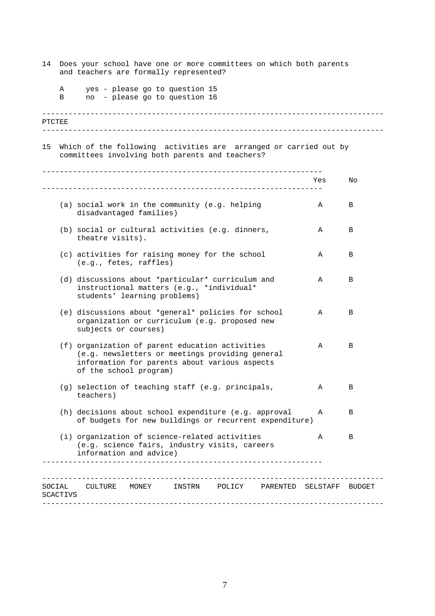<span id="page-6-0"></span>

| 14     | Does your school have one or more committees on which both parents<br>and teachers are formally represented?        |                                                                                                                                                                               |     |        |  |  |  |  |  |
|--------|---------------------------------------------------------------------------------------------------------------------|-------------------------------------------------------------------------------------------------------------------------------------------------------------------------------|-----|--------|--|--|--|--|--|
|        | Α<br>В                                                                                                              | yes - please go to question 15<br>no - please go to question 16                                                                                                               |     |        |  |  |  |  |  |
| PTCTEE |                                                                                                                     |                                                                                                                                                                               |     |        |  |  |  |  |  |
| 15     | Which of the following activities are arranged or carried out by<br>committees involving both parents and teachers? |                                                                                                                                                                               |     |        |  |  |  |  |  |
|        |                                                                                                                     |                                                                                                                                                                               | Yes | No     |  |  |  |  |  |
|        |                                                                                                                     | (a) social work in the community (e.g. helping<br>disadvantaged families)                                                                                                     | Α   | B      |  |  |  |  |  |
|        |                                                                                                                     | (b) social or cultural activities (e.g. dinners,<br>theatre visits).                                                                                                          | Α   | B      |  |  |  |  |  |
|        |                                                                                                                     | (c) activities for raising money for the school<br>(e.g., fetes, raffles)                                                                                                     | Α   | В      |  |  |  |  |  |
|        |                                                                                                                     | (d) discussions about *particular* curriculum and<br>instructional matters (e.g., *individual*<br>students' learning problems)                                                | Α   | В      |  |  |  |  |  |
|        |                                                                                                                     | (e) discussions about *general* policies for school<br>organization or curriculum (e.g. proposed new<br>subjects or courses)                                                  | Α   | В      |  |  |  |  |  |
|        |                                                                                                                     | (f) organization of parent education activities<br>(e.g. newsletters or meetings providing general<br>information for parents about various aspects<br>of the school program) | Α   | B      |  |  |  |  |  |
|        |                                                                                                                     | (g) selection of teaching staff (e.g. principals,<br>teachers)                                                                                                                | Α   | В      |  |  |  |  |  |
|        |                                                                                                                     | (h) decisions about school expenditure (e.g. approval<br>of budgets for new buildings or recurrent expenditure)                                                               | Α   | В      |  |  |  |  |  |
|        |                                                                                                                     | (i) organization of science-related activities<br>(e.g. science fairs, industry visits, careers<br>information and advice)                                                    | Α   | B      |  |  |  |  |  |
|        | SOCIAL<br>SCACTIVS                                                                                                  | CULTURE<br>MONEY<br>INSTRN<br>POLICY<br>PARENTED SELSTAFF                                                                                                                     |     | BUDGET |  |  |  |  |  |